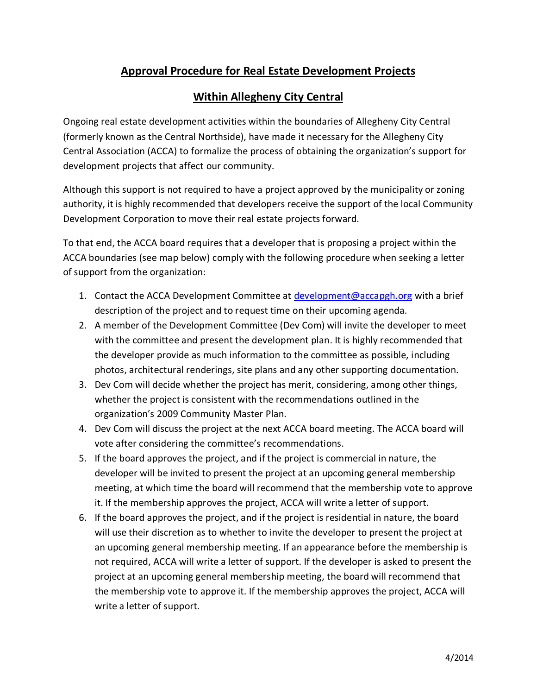## **Approval Procedure for Real Estate Development Projects**

## **Within Allegheny City Central**

Ongoing real estate development activities within the boundaries of Allegheny City Central (formerly known as the Central Northside), have made it necessary for the Allegheny City Central Association (ACCA) to formalize the process of obtaining the organization's support for development projects that affect our community.

Although this support is not required to have a project approved by the municipality or zoning authority, it is highly recommended that developers receive the support of the local Community Development Corporation to move their real estate projects forward.

To that end, the ACCA board requires that a developer that is proposing a project within the ACCA boundaries (see map below) comply with the following procedure when seeking a letter of support from the organization:

- 1. Contact the ACCA Development Committee at [development@accapgh.org](mailto:development@accapgh.org) with a brief description of the project and to request time on their upcoming agenda.
- 2. A member of the Development Committee (Dev Com) will invite the developer to meet with the committee and present the development plan. It is highly recommended that the developer provide as much information to the committee as possible, including photos, architectural renderings, site plans and any other supporting documentation.
- 3. Dev Com will decide whether the project has merit, considering, among other things, whether the project is consistent with the recommendations outlined in the organization's 2009 Community Master Plan.
- 4. Dev Com will discuss the project at the next ACCA board meeting. The ACCA board will vote after considering the committee's recommendations.
- 5. If the board approves the project, and if the project is commercial in nature, the developer will be invited to present the project at an upcoming general membership meeting, at which time the board will recommend that the membership vote to approve it. If the membership approves the project, ACCA will write a letter of support.
- 6. If the board approves the project, and if the project is residential in nature, the board will use their discretion as to whether to invite the developer to present the project at an upcoming general membership meeting. If an appearance before the membership is not required, ACCA will write a letter of support. If the developer is asked to present the project at an upcoming general membership meeting, the board will recommend that the membership vote to approve it. If the membership approves the project, ACCA will write a letter of support.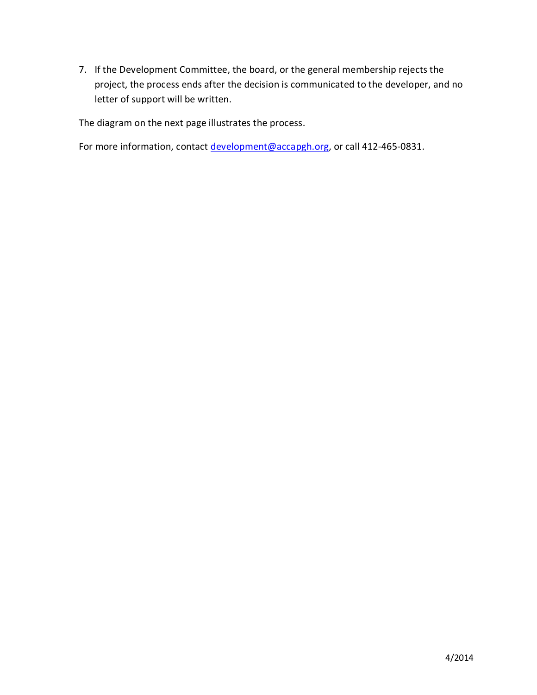7. If the Development Committee, the board, or the general membership rejects the project, the process ends after the decision is communicated to the developer, and no letter of support will be written.

The diagram on the next page illustrates the process.

For more information, contact [development@accapgh.org,](mailto:development@accapgh.org) or call 412-465-0831.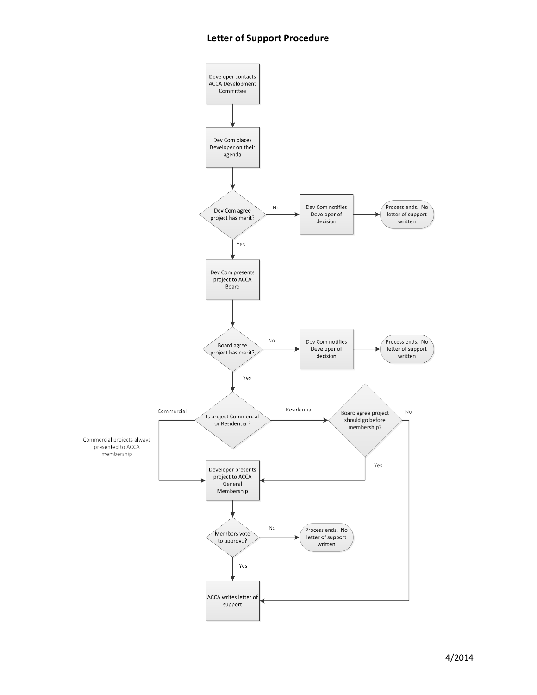## **Letter of Support Procedure**